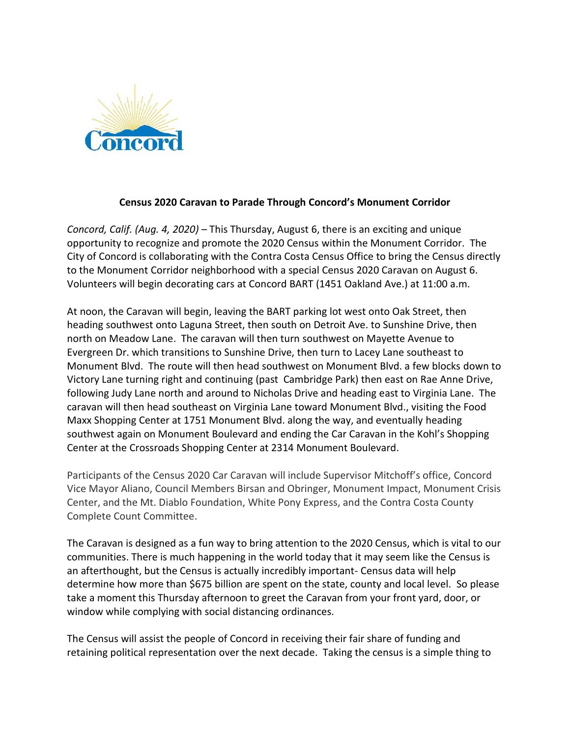

## **Census 2020 Caravan to Parade Through Concord's Monument Corridor**

*Concord, Calif. (Aug. 4, 2020) –* This Thursday, August 6, there is an exciting and unique opportunity to recognize and promote the 2020 Census within the Monument Corridor. The City of Concord is collaborating with the Contra Costa Census Office to bring the Census directly to the Monument Corridor neighborhood with a special Census 2020 Caravan on August 6. Volunteers will begin decorating cars at Concord BART (1451 Oakland Ave.) at 11:00 a.m.

At noon, the Caravan will begin, leaving the BART parking lot west onto Oak Street, then heading southwest onto Laguna Street, then south on Detroit Ave. to Sunshine Drive, then north on Meadow Lane. The caravan will then turn southwest on Mayette Avenue to Evergreen Dr. which transitions to Sunshine Drive, then turn to Lacey Lane southeast to Monument Blvd. The route will then head southwest on Monument Blvd. a few blocks down to Victory Lane turning right and continuing (past Cambridge Park) then east on Rae Anne Drive, following Judy Lane north and around to Nicholas Drive and heading east to Virginia Lane. The caravan will then head southeast on Virginia Lane toward Monument Blvd., visiting the Food Maxx Shopping Center at 1751 Monument Blvd. along the way, and eventually heading southwest again on Monument Boulevard and ending the Car Caravan in the Kohl's Shopping Center at the Crossroads Shopping Center at 2314 Monument Boulevard.

Participants of the Census 2020 Car Caravan will include Supervisor Mitchoff's office, Concord Vice Mayor Aliano, Council Members Birsan and Obringer, Monument Impact, Monument Crisis Center, and the Mt. Diablo Foundation, White Pony Express, and the Contra Costa County Complete Count Committee.

The Caravan is designed as a fun way to bring attention to the 2020 Census, which is vital to our communities. There is much happening in the world today that it may seem like the Census is an afterthought, but the Census is actually incredibly important- Census data will help determine how more than \$675 billion are spent on the state, county and local level. So please take a moment this Thursday afternoon to greet the Caravan from your front yard, door, or window while complying with social distancing ordinances.

The Census will assist the people of Concord in receiving their fair share of funding and retaining political representation over the next decade. Taking the census is a simple thing to